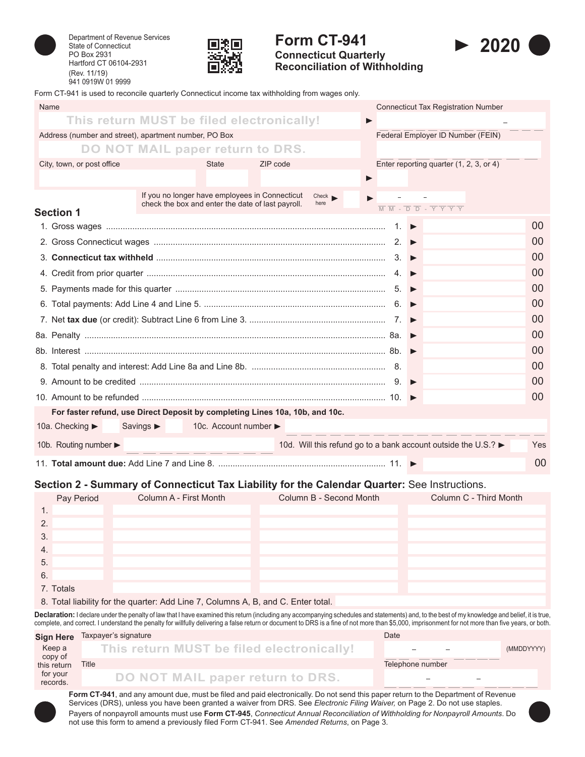

Department of Revenue Services State of Connecticut PO Box 2931 Hartford CT 06104-2931 (Rev. 11/19) 941 0919W 01 9999



# **Form CT-941 Connecticut Quarterly**

**Reconciliation of Withholding**



Form CT-941 is used to reconcile quarterly Connecticut income tax withholding from wages only.

| Name                                                                                                                                                                                                                                       |                                                                                                     |                       |  | <b>Connecticut Tax Registration Number</b>                                                                                  |                |  |
|--------------------------------------------------------------------------------------------------------------------------------------------------------------------------------------------------------------------------------------------|-----------------------------------------------------------------------------------------------------|-----------------------|--|-----------------------------------------------------------------------------------------------------------------------------|----------------|--|
|                                                                                                                                                                                                                                            | This return MUST be filed electronically!                                                           |                       |  |                                                                                                                             |                |  |
| Address (number and street), apartment number, PO Box                                                                                                                                                                                      |                                                                                                     |                       |  | Federal Employer ID Number (FEIN)                                                                                           |                |  |
|                                                                                                                                                                                                                                            | DO NOT MAIL paper return to DRS.                                                                    |                       |  |                                                                                                                             |                |  |
| City, town, or post office                                                                                                                                                                                                                 | <b>State</b>                                                                                        | ZIP code              |  | Enter reporting quarter (1, 2, 3, or 4)                                                                                     |                |  |
|                                                                                                                                                                                                                                            |                                                                                                     | $\blacktriangleright$ |  |                                                                                                                             |                |  |
|                                                                                                                                                                                                                                            | If you no longer have employees in Connecticut<br>check the box and enter the date of last payroll. | Check<br>here         |  | $\overline{M}$ $\overline{M}$ - $\overline{D}$ $\overline{D}$ - $\overline{Y}$ $\overline{Y}$ $\overline{Y}$ $\overline{Y}$ |                |  |
| <b>Section 1</b>                                                                                                                                                                                                                           |                                                                                                     |                       |  |                                                                                                                             |                |  |
|                                                                                                                                                                                                                                            |                                                                                                     |                       |  |                                                                                                                             | $00 \,$        |  |
|                                                                                                                                                                                                                                            |                                                                                                     |                       |  |                                                                                                                             | 00             |  |
| 3. Connecticut tax withheld $\ldots$ $\ldots$ $\ldots$ $\ldots$ $\ldots$ $\ldots$ $\ldots$ $\ldots$ $\ldots$ $\ldots$ $\ldots$ $\ldots$ $\ldots$ $\ldots$ $\ldots$ $\ldots$ $\ldots$ $\ldots$ $\ldots$ $\ldots$ $\ldots$ $\ldots$ $\ldots$ |                                                                                                     |                       |  |                                                                                                                             | 00             |  |
|                                                                                                                                                                                                                                            |                                                                                                     |                       |  |                                                                                                                             | 00             |  |
|                                                                                                                                                                                                                                            |                                                                                                     |                       |  |                                                                                                                             | 0 <sup>0</sup> |  |
|                                                                                                                                                                                                                                            |                                                                                                     |                       |  |                                                                                                                             | 00             |  |
|                                                                                                                                                                                                                                            |                                                                                                     |                       |  |                                                                                                                             | 00             |  |
|                                                                                                                                                                                                                                            |                                                                                                     |                       |  |                                                                                                                             | 00             |  |
|                                                                                                                                                                                                                                            |                                                                                                     |                       |  |                                                                                                                             | 00             |  |
|                                                                                                                                                                                                                                            |                                                                                                     |                       |  |                                                                                                                             | 00             |  |
|                                                                                                                                                                                                                                            |                                                                                                     |                       |  |                                                                                                                             | 0 <sup>0</sup> |  |
|                                                                                                                                                                                                                                            |                                                                                                     |                       |  |                                                                                                                             | 00             |  |
|                                                                                                                                                                                                                                            | For faster refund, use Direct Deposit by completing Lines 10a, 10b, and 10c.                        |                       |  |                                                                                                                             |                |  |
| 10a. Checking ►                                                                                                                                                                                                                            | Savings $\blacktriangleright$<br>10c. Account number ►                                              |                       |  |                                                                                                                             |                |  |
| 10b. Routing number $\blacktriangleright$                                                                                                                                                                                                  |                                                                                                     |                       |  | 10d. Will this refund go to a bank account outside the U.S.? ►                                                              | <b>Yes</b>     |  |
|                                                                                                                                                                                                                                            |                                                                                                     |                       |  |                                                                                                                             | 00             |  |

#### **Section 2 - Summary of Connecticut Tax Liability for the Calendar Quarter:** See Instructions.

|    | Pay Period | Column A - First Month | Column B - Second Month | Column C - Third Month |
|----|------------|------------------------|-------------------------|------------------------|
|    |            |                        |                         |                        |
| 2. |            |                        |                         |                        |
| 3. |            |                        |                         |                        |
| 4. |            |                        |                         |                        |
| 5. |            |                        |                         |                        |
| 6. |            |                        |                         |                        |
|    | 7. Totals  |                        |                         |                        |

8. Total liability for the quarter: Add Line 7, Columns A, B, and C. Enter total.

Declaration: I declare under the penalty of law that I have examined this return (including any accompanying schedules and statements) and, to the best of my knowledge and belief, it is true, complete, and correct. I understand the penalty for willfully delivering a false return or document to DRS is a fine of not more than \$5,000, imprisonment for not more than five years, or both.

|                        | Sign Here Taxpayer's signature            | Date                     |            |
|------------------------|-------------------------------------------|--------------------------|------------|
| Keep a                 | This return MUST be filed electronically! | $\overline{\phantom{a}}$ | (MMDDYYYY) |
| copy of<br>this return | Title                                     | Telephone number         |            |
| for your<br>records.   | DO NOT MAIL paper return to DRS.          | $\overline{\phantom{0}}$ |            |

**Form CT-941**, and any amount due, must be filed and paid electronically. Do not send this paper return to the Department of Revenue Services (DRS), unless you have been granted a waiver from DRS. See *Electronic Filing Waiver,* on Page 2. Do not use staples. Payers of nonpayroll amounts must use **Form CT-945**, *Connecticut Annual Reconciliation of Withholding for Nonpayroll Amounts*. Do not use this form to amend a previously filed Form CT‑941. See *Amended Returns*, on Page 3.

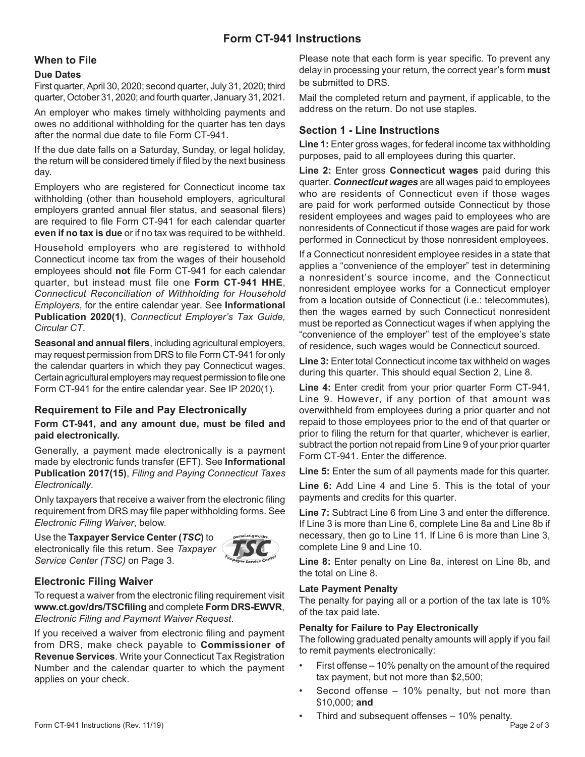# **Form CT-941 Instructions**

### **When to File**

#### **Due Dates**

First quarter, April 30, 2020; second quarter, July 31, 2020; third quarter, October 31, 2020; and fourth quarter, January 31, 2021.

An employer who makes timely withholding payments and owes no additional withholding for the quarter has ten days after the normal due date to file Form CT‑941.

If the due date falls on a Saturday, Sunday, or legal holiday, the return will be considered timely if filed by the next business day.

Employers who are registered for Connecticut income tax withholding (other than household employers, agricultural employers granted annual filer status, and seasonal filers) are required to file Form CT‑941 for each calendar quarter **even if no tax is due** or if no tax was required to be withheld.

Household employers who are registered to withhold Connecticut income tax from the wages of their household employees should **not** file Form CT‑941 for each calendar quarter, but instead must file one **Form CT-941 HHE**, *Connecticut Reconciliation of Withholding for Household Employers*, for the entire calendar year. See **Informational Publication 2020(1)**, *Connecticut Employer's Tax Guide, Circular CT*.

**Seasonal and annual filers**, including agricultural employers, may request permission from DRS to file Form CT-941 for only the calendar quarters in which they pay Connecticut wages. Certain agricultural employers may request permission to file one Form CT-941 for the entire calendar year. See IP 2020(1).

## **Requirement to File and Pay Electronically**

### **Form CT‑941, and any amount due, must be filed and paid electronically.**

Generally, a payment made electronically is a payment made by electronic funds transfer (EFT). See **Informational Publication 2017(15)**, *Filing and Paying Connecticut Taxes Electronically*.

Only taxpayers that receive a waiver from the electronic filing requirement from DRS may file paper withholding forms. See *Electronic Filing Waiver*, below.

Use the **Taxpayer Service Center (***TSC***)** to electronically file this return. See *Taxpayer Service Center (TSC)* on Page 3.



## **Electronic Filing Waiver**

To request a waiver from the electronic filing requirement visit **[www.ct.gov/drs/TSCfiling](https://www.ct.gov/drs/TSCfiling)** and complete **Form DRS-EWVR**, *Electronic Filing and Payment Waiver Request*.

If you received a waiver from electronic filing and payment from DRS, make check payable to **Commissioner of Revenue Services**. Write your Connecticut Tax Registration Number and the calendar quarter to which the payment applies on your check.

Please note that each form is year specific. To prevent any delay in processing your return, the correct year's form **must** be submitted to DRS.

Mail the completed return and payment, if applicable, to the address on the return. Do not use staples.

## **Section 1 - Line Instructions**

**Line 1:** Enter gross wages, for federal income tax withholding purposes, paid to all employees during this quarter.

**Line 2:** Enter gross **Connecticut wages** paid during this quarter. *Connecticut wages* are all wages paid to employees who are residents of Connecticut even if those wages are paid for work performed outside Connecticut by those resident employees and wages paid to employees who are nonresidents of Connecticut if those wages are paid for work performed in Connecticut by those nonresident employees.

If a Connecticut nonresident employee resides in a state that applies a "convenience of the employer" test in determining a nonresident's source income, and the Connecticut nonresident employee works for a Connecticut employer from a location outside of Connecticut (i.e.: telecommutes), then the wages earned by such Connecticut nonresident must be reported as Connecticut wages if when applying the "convenience of the employer" test of the employee's state of residence, such wages would be Connecticut sourced.

**Line 3:** Enter total Connecticut income tax withheld on wages during this quarter. This should equal Section 2, Line 8.

**Line 4:** Enter credit from your prior quarter Form CT-941, Line 9. However, if any portion of that amount was overwithheld from employees during a prior quarter and not repaid to those employees prior to the end of that quarter or prior to filing the return for that quarter, whichever is earlier, subtract the portion not repaid from Line 9 of your prior quarter Form CT‑941. Enter the difference.

**Line 5:** Enter the sum of all payments made for this quarter.

**Line 6:** Add Line 4 and Line 5. This is the total of your payments and credits for this quarter.

**Line 7:** Subtract Line 6 from Line 3 and enter the difference. If Line 3 is more than Line 6, complete Line 8a and Line 8b if necessary, then go to Line 11. If Line 6 is more than Line 3, complete Line 9 and Line 10.

**Line 8:** Enter penalty on Line 8a, interest on Line 8b, and the total on Line 8.

#### **Late Payment Penalty**

The penalty for paying all or a portion of the tax late is 10% of the tax paid late.

### **Penalty for Failure to Pay Electronically**

The following graduated penalty amounts will apply if you fail to remit payments electronically:

- First offense 10% penalty on the amount of the required tax payment, but not more than \$2,500;
- Second offense  $-10\%$  penalty, but not more than \$10,000; **and**
- Third and subsequent offenses 10% penalty.